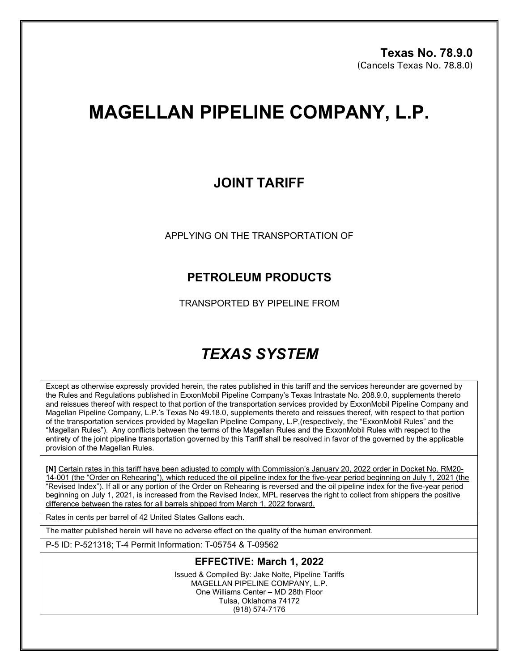# **MAGELLAN PIPELINE COMPANY, L.P.**

## **JOINT TARIFF**

APPLYING ON THE TRANSPORTATION OF

### **PETROLEUM PRODUCTS**

TRANSPORTED BY PIPELINE FROM

## *TEXAS SYSTEM*

Except as otherwise expressly provided herein, the rates published in this tariff and the services hereunder are governed by the Rules and Regulations published in ExxonMobil Pipeline Company's Texas Intrastate No. 208.9.0, supplements thereto and reissues thereof with respect to that portion of the transportation services provided by ExxonMobil Pipeline Company and Magellan Pipeline Company, L.P.'s Texas No 49.18.0, supplements thereto and reissues thereof, with respect to that portion of the transportation services provided by Magellan Pipeline Company, L.P,(respectively, the "ExxonMobil Rules" and the "Magellan Rules"). Any conflicts between the terms of the Magellan Rules and the ExxonMobil Rules with respect to the entirety of the joint pipeline transportation governed by this Tariff shall be resolved in favor of the governed by the applicable provision of the Magellan Rules.

**[N]** Certain rates in this tariff have been adjusted to comply with Commission's January 20, 2022 order in Docket No. RM20- 14-001 (the "Order on Rehearing"), which reduced the oil pipeline index for the five-year period beginning on July 1, 2021 (the "Revised Index"). If all or any portion of the Order on Rehearing is reversed and the oil pipeline index for the five-year period beginning on July 1, 2021, is increased from the Revised Index, MPL reserves the right to collect from shippers the positive difference between the rates for all barrels shipped from March 1, 2022 forward.

Rates in cents per barrel of 42 United States Gallons each.

The matter published herein will have no adverse effect on the quality of the human environment.

P-5 ID: P-521318; T-4 Permit Information: T-05754 & T-09562

#### **EFFECTIVE: March 1, 2022**

Issued & Compiled By: Jake Nolte, Pipeline Tariffs MAGELLAN PIPELINE COMPANY, L.P. One Williams Center – MD 28th Floor Tulsa, Oklahoma 74172 (918) 574-7176